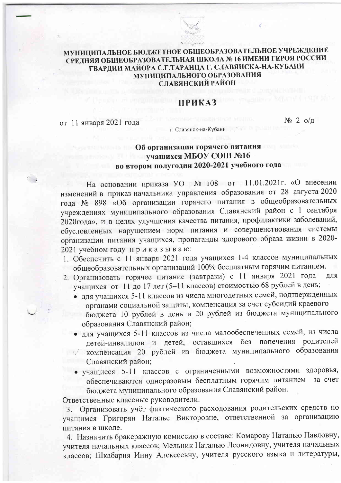

### **ПРИКАЗ**

от 11 января 2021 года

#### $N_2$  2  $O/\pi$

г. Славянск-на-Кубани

## **••• Об организации горячего питания** учащихся МБОУ СОШ №16 во втором полугодии 2020-2021 учебного года

На основании приказа УО № 108 от 11.01.2021г. «О внесении изменений в приказ начальника управления образования от 28 августа 2020 года № 898 «Об организации горячего питания в общеобразовательных учреждениях муниципального образования Славянский район с 1 сентября .<br>2020 года», и в целях улучшения качества питания, профилактики заболеваний, обусловленных нарушением норм питания и совершенствования системы организации питания учащихся, пропаганды здорового образа жизни в 2020-2021 учебном году приказываю:

- 1. Обеспечить с 11 января 2021 года учащихся 1-4 классов муниципальных общеобразовательных организаций 100% бесплатным горячим питанием.
- 2. Организовать горячее питание (завтраки) с 11 января 2021 года ЛЛЯ учащихся от 11 до 17 лет (5-11 классов) стоимостью 68 рублей в день;
	- для учащихся 5-11 классов из числа многодетных семей, подтвержденных органами социальной защиты, компенсация за счет субсидий краевого бюджета 10 рублей в день и 20 рублей из бюджета муниципального образования Славянский район;
	- для учащихся 5-11 классов из числа малообеспеченных семей, из числа детей-инвалидов и детей, оставшихся без попечения родителей
	- Компенсация 20 рублей из бюджета муниципального образования Славянский район;
	- учащиеся 5-11 классов с ограниченными возможностями здоровья, обеспечиваются одноразовым бесплатным горячим питанием за счет бюджета муниципального образования Славянский район.

Ответственные классные руководители.

3. Организовать учёт фактического расходования родительских средств по учащимся Григорян Наталье Викторовне, ответственной за организацию питания в школе.

4. Назначить бракеражную комиссию в составе: Комарову Наталью Павловну, учителя начальных классов; Мельник Наталью Леонидовну, учителя начальных классов; Шкабарня Инну Алексеевну, учителя русского языка и литературы,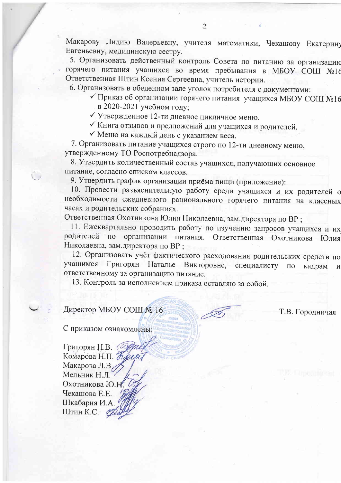Макарову Лидию Валерьевну, учителя математики, Чекашову Екатерину Евгеньевну, медицинскую сестру.

5. Организовать действенный контроль Совета по питанию за организацию горячего питания учащихся во время пребывания в МБОУ СОШ №16 Ответственная Штин Ксения Сергеевна, учитель истории.

6. Организовать в обеденном зале уголок потребителя с документами:

√ Приказ об организации горячего питания учащихся МБОУ СОШ №16 в 2020-2021 учебном году;

√ Утвержденное 12-ти дневное цикличное меню.

√ Книга отзывов и предложений для учащихся и родителей.

√ Меню на каждый день с указанием веса.

7. Организовать питание учащихся строго по 12-ти дневному меню, утвержденному ТО Роспотребнадзора.

8. Утвердить количественный состав учащихся, получающих основное питание, согласно спискам классов.

9. Утвердить график организации приёма пищи (приложение):

10. Провести разъяснительную работу среди учащихся и их родителей с необходимости ежедневного рационального горячего питания на классных часах и родительских собраниях.

Ответственная Охотникова Юлия Николаевна, зам.директора по ВР;

11. Ежеквартально проводить работу по изучению запросов учащихся и их родителей по организации питания. Ответственная Охотникова Юлия Николаевна, зам.директора по ВР;

12. Организовать учёт фактического расходования родительских средств по учащимся Григорян Наталье Викторовне, специалисту по кадрам  $\mathbf{M}$ ответственному за организацию питание.

13. Контроль за исполнением приказа оставляю за собой.

### Директор МБОУ СОШ № 16

Т.В. Городничая

С приказом ознакомлены:

Григорян Н.В. (2 Комарова Н.П. Пресс Макарова Л.В. Мельник Н.Л. Охотникова Ю.Н. Чекашова Е.Е. Шкабарня И.А Штин К.С.